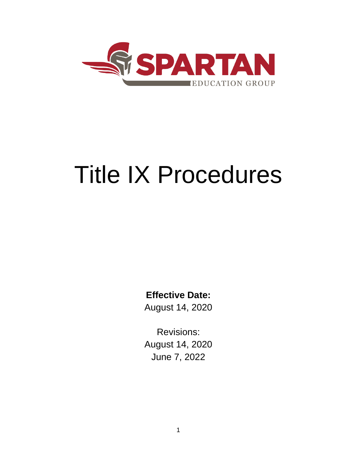

# Title IX Procedures

**Effective Date:** 

August 14, 2020

Revisions: August 14, 2020 June 7, 2022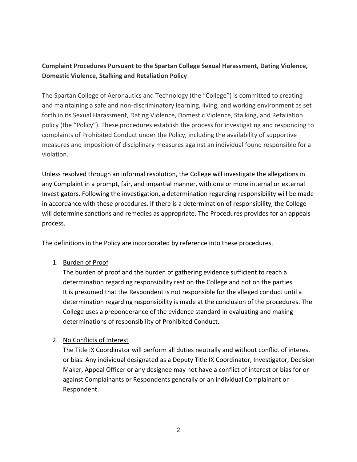# **Complaint Procedures Pursuant to the Spartan College Sexual Harassment, Dating Violence, Domestic Violence, Stalking and Retaliation Policy**

The Spartan College of Aeronautics and Technology (the "College") is committed to creating and maintaining a safe and non-discriminatory learning, living, and working environment as set forth in its Sexual Harassment, Dating Violence, Domestic Violence, Stalking, and Retaliation policy (the "Policy"). These procedures establish the process for investigating and responding to complaints of Prohibited Conduct under the Policy, including the availability of supportive measures and imposition of disciplinary measures against an individual found responsible for a violation.

Unless resolved through an informal resolution, the College will investigate the allegations in any Complaint in a prompt, fair, and impartial manner, with one or more internal or external Investigators. Following the investigation, a determination regarding responsibility will be made in accordance with these procedures. If there is a determination of responsibility, the College will determine sanctions and remedies as appropriate. The Procedures provides for an appeals process.

The definitions in the Policy are incorporated by reference into these procedures.

1. Burden of Proof

The burden of proof and the burden of gathering evidence sufficient to reach a determination regarding responsibility rest on the College and not on the parties. It is presumed that the Respondent is not responsible for the alleged conduct until a determination regarding responsibility is made at the conclusion of the procedures. The College uses a preponderance of the evidence standard in evaluating and making determinations of responsibility of Prohibited Conduct.

# 2. No Conflicts of Interest

The Title iX Coordinator will perform all duties neutrally and without conflict of interest or bias. Any individual designated as a Deputy Title IX Coordinator, Investigator, Decision Maker, Appeal Officer or any designee may not have a conflict of interest or bias for or against Complainants or Respondents generally or an individual Complainant or Respondent.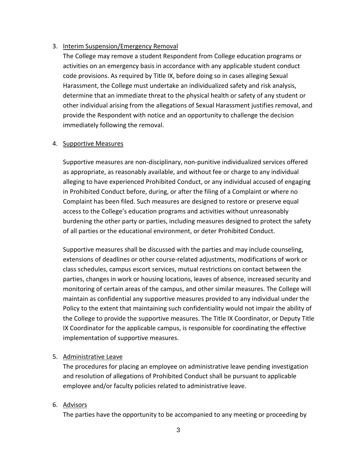#### 3. Interim Suspension/Emergency Removal

The College may remove a student Respondent from College education programs or activities on an emergency basis in accordance with any applicable student conduct code provisions. As required by Title IX, before doing so in cases alleging Sexual Harassment, the College must undertake an individualized safety and risk analysis, determine that an immediate threat to the physical health or safety of any student or other individual arising from the allegations of Sexual Harassment justifies removal, and provide the Respondent with notice and an opportunity to challenge the decision immediately following the removal.

#### 4. Supportive Measures

Supportive measures are non-disciplinary, non-punitive individualized services offered as appropriate, as reasonably available, and without fee or charge to any individual alleging to have experienced Prohibited Conduct, or any individual accused of engaging in Prohibited Conduct before, during, or after the filing of a Complaint or where no Complaint has been filed. Such measures are designed to restore or preserve equal access to the College's education programs and activities without unreasonably burdening the other party or parties, including measures designed to protect the safety of all parties or the educational environment, or deter Prohibited Conduct.

Supportive measures shall be discussed with the parties and may include counseling, extensions of deadlines or other course-related adjustments, modifications of work or class schedules, campus escort services, mutual restrictions on contact between the parties, changes in work or housing locations, leaves of absence, increased security and monitoring of certain areas of the campus, and other similar measures. The College will maintain as confidential any supportive measures provided to any individual under the Policy to the extent that maintaining such confidentiality would not impair the ability of the College to provide the supportive measures. The Title IX Coordinator, or Deputy Title IX Coordinator for the applicable campus, is responsible for coordinating the effective implementation of supportive measures.

#### 5. Administrative Leave

The procedures for placing an employee on administrative leave pending investigation and resolution of allegations of Prohibited Conduct shall be pursuant to applicable employee and/or faculty policies related to administrative leave.

## 6. Advisors

The parties have the opportunity to be accompanied to any meeting or proceeding by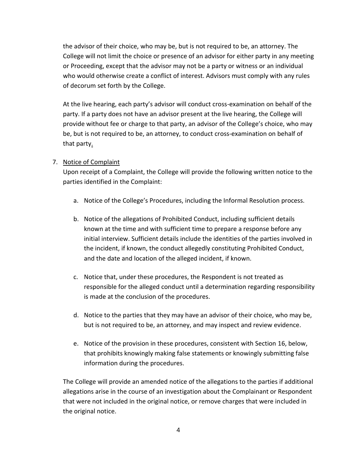the advisor of their choice, who may be, but is not required to be, an attorney. The College will not limit the choice or presence of an advisor for either party in any meeting or Proceeding, except that the advisor may not be a party or witness or an individual who would otherwise create a conflict of interest. Advisors must comply with any rules of decorum set forth by the College.

At the live hearing, each party's advisor will conduct cross-examination on behalf of the party. If a party does not have an advisor present at the live hearing, the College will provide without fee or charge to that party, an advisor of the College's choice, who may be, but is not required to be, an attorney, to conduct cross-examination on behalf of that party.

## 7. Notice of Complaint

Upon receipt of a Complaint, the College will provide the following written notice to the parties identified in the Complaint:

- a. Notice of the College's Procedures, including the Informal Resolution process.
- b. Notice of the allegations of Prohibited Conduct, including sufficient details known at the time and with sufficient time to prepare a response before any initial interview. Sufficient details include the identities of the parties involved in the incident, if known, the conduct allegedly constituting Prohibited Conduct, and the date and location of the alleged incident, if known.
- c. Notice that, under these procedures, the Respondent is not treated as responsible for the alleged conduct until a determination regarding responsibility is made at the conclusion of the procedures.
- d. Notice to the parties that they may have an advisor of their choice, who may be, but is not required to be, an attorney, and may inspect and review evidence.
- e. Notice of the provision in these procedures, consistent with Section 16, below, that prohibits knowingly making false statements or knowingly submitting false information during the procedures.

The College will provide an amended notice of the allegations to the parties if additional allegations arise in the course of an investigation about the Complainant or Respondent that were not included in the original notice, or remove charges that were included in the original notice.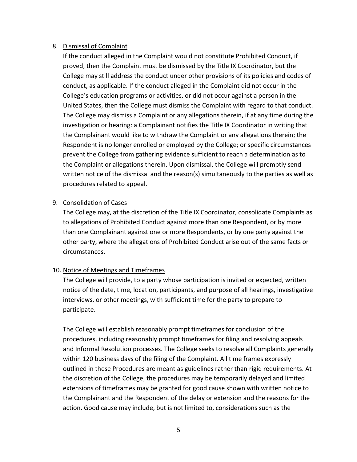#### 8. Dismissal of Complaint

If the conduct alleged in the Complaint would not constitute Prohibited Conduct, if proved, then the Complaint must be dismissed by the Title IX Coordinator, but the College may still address the conduct under other provisions of its policies and codes of conduct, as applicable. If the conduct alleged in the Complaint did not occur in the College's education programs or activities, or did not occur against a person in the United States, then the College must dismiss the Complaint with regard to that conduct. The College may dismiss a Complaint or any allegations therein, if at any time during the investigation or hearing: a Complainant notifies the Title IX Coordinator in writing that the Complainant would like to withdraw the Complaint or any allegations therein; the Respondent is no longer enrolled or employed by the College; or specific circumstances prevent the College from gathering evidence sufficient to reach a determination as to the Complaint or allegations therein. Upon dismissal, the College will promptly send written notice of the dismissal and the reason(s) simultaneously to the parties as well as procedures related to appeal.

#### 9. Consolidation of Cases

The College may, at the discretion of the Title IX Coordinator, consolidate Complaints as to allegations of Prohibited Conduct against more than one Respondent, or by more than one Complainant against one or more Respondents, or by one party against the other party, where the allegations of Prohibited Conduct arise out of the same facts or circumstances.

## 10. Notice of Meetings and Timeframes

The College will provide, to a party whose participation is invited or expected, written notice of the date, time, location, participants, and purpose of all hearings, investigative interviews, or other meetings, with sufficient time for the party to prepare to participate.

The College will establish reasonably prompt timeframes for conclusion of the procedures, including reasonably prompt timeframes for filing and resolving appeals and Informal Resolution processes. The College seeks to resolve all Complaints generally within 120 business days of the filing of the Complaint. All time frames expressly outlined in these Procedures are meant as guidelines rather than rigid requirements. At the discretion of the College, the procedures may be temporarily delayed and limited extensions of timeframes may be granted for good cause shown with written notice to the Complainant and the Respondent of the delay or extension and the reasons for the action. Good cause may include, but is not limited to, considerations such as the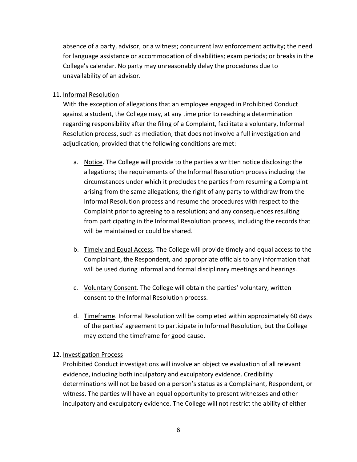absence of a party, advisor, or a witness; concurrent law enforcement activity; the need for language assistance or accommodation of disabilities; exam periods; or breaks in the College's calendar. No party may unreasonably delay the procedures due to unavailability of an advisor.

11. Informal Resolution

With the exception of allegations that an employee engaged in Prohibited Conduct against a student, the College may, at any time prior to reaching a determination regarding responsibility after the filing of a Complaint, facilitate a voluntary, Informal Resolution process, such as mediation, that does not involve a full investigation and adjudication, provided that the following conditions are met:

- a. Notice. The College will provide to the parties a written notice disclosing: the allegations; the requirements of the Informal Resolution process including the circumstances under which it precludes the parties from resuming a Complaint arising from the same allegations; the right of any party to withdraw from the Informal Resolution process and resume the procedures with respect to the Complaint prior to agreeing to a resolution; and any consequences resulting from participating in the Informal Resolution process, including the records that will be maintained or could be shared.
- b. Timely and Equal Access. The College will provide timely and equal access to the Complainant, the Respondent, and appropriate officials to any information that will be used during informal and formal disciplinary meetings and hearings.
- c. Voluntary Consent. The College will obtain the parties' voluntary, written consent to the Informal Resolution process.
- d. Time frame. Informal Resolution will be completed within approximately 60 days of the parties' agreement to participate in Informal Resolution, but the College may extend the timeframe for good cause.

## 12. Investigation Process

Prohibited Conduct investigations will involve an objective evaluation of all relevant evidence, including both inculpatory and exculpatory evidence. Credibility determinations will not be based on a person's status as a Complainant, Respondent, or witness. The parties will have an equal opportunity to present witnesses and other inculpatory and exculpatory evidence. The College will not restrict the ability of either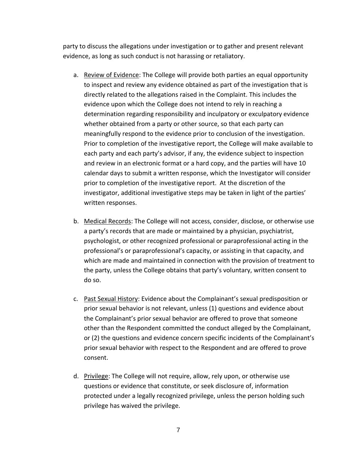party to discuss the allegations under investigation or to gather and present relevant evidence, as long as such conduct is not harassing or retaliatory.

- a. Review of Evidence: The College will provide both parties an equal opportunity to inspect and review any evidence obtained as part of the investigation that is directly related to the allegations raised in the Complaint. This includes the evidence upon which the College does not intend to rely in reaching a determination regarding responsibility and inculpatory or exculpatory evidence whether obtained from a party or other source, so that each party can meaningfully respond to the evidence prior to conclusion of the investigation. Prior to completion of the investigative report, the College will make available to each party and each party's advisor, if any, the evidence subject to inspection and review in an electronic format or a hard copy, and the parties will have 10 calendar days to submit a written response, which the Investigator will consider prior to completion of the investigative report. At the discretion of the investigator, additional investigative steps may be taken in light of the parties' written responses.
- b. Medical Records: The College will not access, consider, disclose, or otherwise use a party's records that are made or maintained by a physician, psychiatrist, psychologist, or other recognized professional or paraprofessional acting in the professional's or paraprofessional's capacity, or assisting in that capacity, and which are made and maintained in connection with the provision of treatment to the party, unless the College obtains that party's voluntary, written consent to do so.
- c. Past Sexual History: Evidence about the Complainant's sexual predisposition or prior sexual behavior is not relevant, unless (1) questions and evidence about the Complainant's prior sexual behavior are offered to prove that someone other than the Respondent committed the conduct alleged by the Complainant, or (2) the questions and evidence concern specific incidents of the Complainant's prior sexual behavior with respect to the Respondent and are offered to prove consent.
- d. Privilege: The College will not require, allow, rely upon, or otherwise use questions or evidence that constitute, or seek disclosure of, information protected under a legally recognized privilege, unless the person holding such privilege has waived the privilege.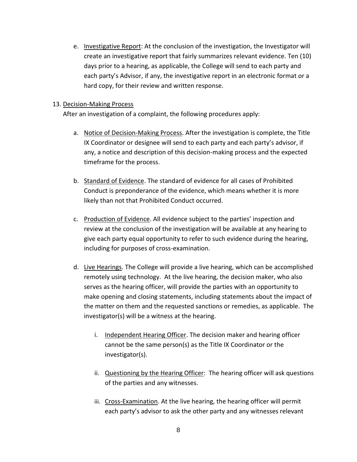e. Investigative Report: At the conclusion of the investigation, the Investigator will create an investigative report that fairly summarizes relevant evidence. Ten (10) days prior to a hearing, as applicable, the College will send to each party and each party's Advisor, if any, the investigative report in an electronic format or a hard copy, for their review and written response.

#### 13. Decision-Making Process

After an investigation of a complaint, the following procedures apply:

- a. Notice of Decision-Making Process. After the investigation is complete, the Title IX Coordinator or designee will send to each party and each party's advisor, if any, a notice and description of this decision-making process and the expected timeframe for the process.
- b. Standard of Evidence. The standard of evidence for all cases of Prohibited Conduct is preponderance of the evidence, which means whether it is more likely than not that Prohibited Conduct occurred.
- c. Production of Evidence. All evidence subject to the parties' inspection and review at the conclusion of the investigation will be available at any hearing to give each party equal opportunity to refer to such evidence during the hearing, including for purposes of cross-examination.
- d. Live Hearings. The College will provide a live hearing, which can be accomplished remotely using technology. At the live hearing, the decision maker, who also serves as the hearing officer, will provide the parties with an opportunity to make opening and closing statements, including statements about the impact of the matter on them and the requested sanctions or remedies, as applicable. The investigator(s) will be a witness at the hearing.
	- i. Independent Hearing Officer. The decision maker and hearing officer cannot be the same person(s) as the Title IX Coordinator or the investigator(s).
	- ii. Questioning by the Hearing Officer: The hearing officer will ask questions of the parties and any witnesses.
	- iii. Cross-Examination. At the live hearing, the hearing officer will permit each party's advisor to ask the other party and any witnesses relevant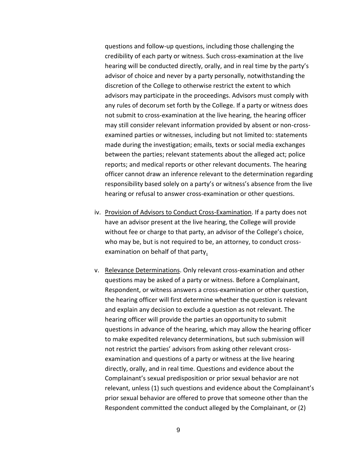questions and follow-up questions, including those challenging the credibility of each party or witness. Such cross-examination at the live hearing will be conducted directly, orally, and in real time by the party's advisor of choice and never by a party personally, notwithstanding the discretion of the College to otherwise restrict the extent to which advisors may participate in the proceedings. Advisors must comply with any rules of decorum set forth by the College. If a party or witness does not submit to cross-examination at the live hearing, the hearing officer may still consider relevant information provided by absent or non-crossexamined parties or witnesses, including but not limited to: statements made during the investigation; emails, texts or social media exchanges between the parties; relevant statements about the alleged act; police reports; and medical reports or other relevant documents. The hearing officer cannot draw an inference relevant to the determination regarding responsibility based solely on a party's or witness's absence from the live hearing or refusal to answer cross-examination or other questions.

- iv. Provision of Advisors to Conduct Cross-Examination. If a party does not have an advisor present at the live hearing, the College will provide without fee or charge to that party, an advisor of the College's choice, who may be, but is not required to be, an attorney, to conduct crossexamination on behalf of that party.
- v. Relevance Determinations. Only relevant cross-examination and other questions may be asked of a party or witness. Before a Complainant, Respondent, or witness answers a cross-examination or other question, the hearing officer will first determine whether the question is relevant and explain any decision to exclude a question as not relevant. The hearing officer will provide the parties an opportunity to submit questions in advance of the hearing, which may allow the hearing officer to make expedited relevancy determinations, but such submission will not restrict the parties' advisors from asking other relevant crossexamination and questions of a party or witness at the live hearing directly, orally, and in real time. Questions and evidence about the Complainant's sexual predisposition or prior sexual behavior are not relevant, unless (1) such questions and evidence about the Complainant's prior sexual behavior are offered to prove that someone other than the Respondent committed the conduct alleged by the Complainant, or (2)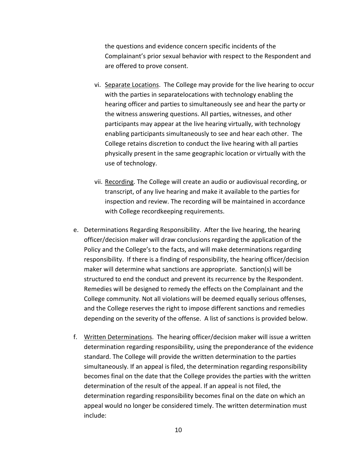the questions and evidence concern specific incidents of the Complainant's prior sexual behavior with respect to the Respondent and are offered to prove consent.

- vi. Separate Locations. The College may provide for the live hearing to occur with the parties in separatelocations with technology enabling the hearing officer and parties to simultaneously see and hear the party or the witness answering questions. All parties, witnesses, and other participants may appear at the live hearing virtually, with technology enabling participants simultaneously to see and hear each other. The College retains discretion to conduct the live hearing with all parties physically present in the same geographic location or virtually with the use of technology.
- vii. Recording. The College will create an audio or audiovisual recording, or transcript, of any live hearing and make it available to the parties for inspection and review. The recording will be maintained in accordance with College recordkeeping requirements.
- e. Determinations Regarding Responsibility. After the live hearing, the hearing officer/decision maker will draw conclusions regarding the application of the Policy and the College's to the facts, and will make determinations regarding responsibility. If there is a finding of responsibility, the hearing officer/decision maker will determine what sanctions are appropriate. Sanction(s) will be structured to end the conduct and prevent its recurrence by the Respondent. Remedies will be designed to remedy the effects on the Complainant and the College community. Not all violations will be deemed equally serious offenses, and the College reserves the right to impose different sanctions and remedies depending on the severity of the offense. A list of sanctions is provided below.
- f. Written Determinations. The hearing officer/decision maker will issue a written determination regarding responsibility, using the preponderance of the evidence standard. The College will provide the written determination to the parties simultaneously. If an appeal is filed, the determination regarding responsibility becomes final on the date that the College provides the parties with the written determination of the result of the appeal. If an appeal is not filed, the determination regarding responsibility becomes final on the date on which an appeal would no longer be considered timely. The written determination must include: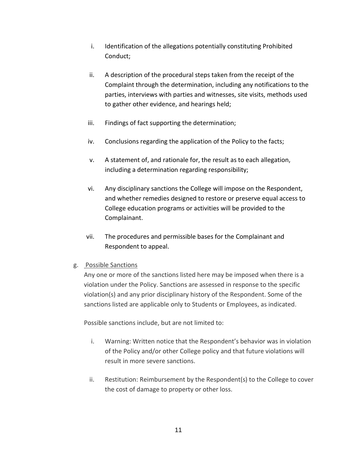- i. Identification of the allegations potentially constituting Prohibited Conduct;
- ii. A description of the procedural steps taken from the receipt of the Complaint through the determination, including any notifications to the parties, interviews with parties and witnesses, site visits, methods used to gather other evidence, and hearings held;
- iii. Findings of fact supporting the determination;
- iv. Conclusions regarding the application of the Policy to the facts;
- v. A statement of, and rationale for, the result as to each allegation, including a determination regarding responsibility;
- vi. Any disciplinary sanctions the College will impose on the Respondent, and whether remedies designed to restore or preserve equal access to College education programs or activities will be provided to the Complainant.
- vii. The procedures and permissible bases for the Complainant and Respondent to appeal.

## g. Possible Sanctions

Any one or more of the sanctions listed here may be imposed when there is a violation under the Policy. Sanctions are assessed in response to the specific violation(s) and any prior disciplinary history of the Respondent. Some of the sanctions listed are applicable only to Students or Employees, as indicated.

Possible sanctions include, but are not limited to:

- i. Warning: Written notice that the Respondent's behavior was in violation of the Policy and/or other College policy and that future violations will result in more severe sanctions.
- ii. Restitution: Reimbursement by the Respondent(s) to the College to cover the cost of damage to property or other loss.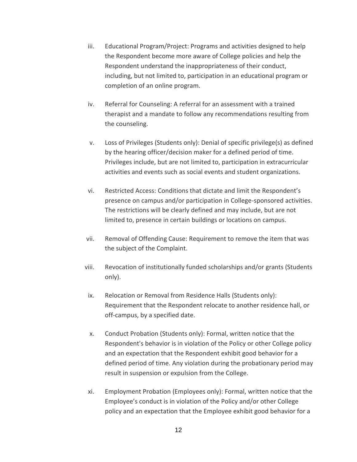- iii. Educational Program/Project: Programs and activities designed to help the Respondent become more aware of College policies and help the Respondent understand the inappropriateness of their conduct, including, but not limited to, participation in an educational program or completion of an online program.
- iv. Referral for Counseling: A referral for an assessment with a trained therapist and a mandate to follow any recommendations resulting from the counseling.
- v. Loss of Privileges (Students only): Denial of specific privilege(s) as defined by the hearing officer/decision maker for a defined period of time. Privileges include, but are not limited to, participation in extracurricular activities and events such as social events and student organizations.
- vi. Restricted Access: Conditions that dictate and limit the Respondent's presence on campus and/or participation in College-sponsored activities. The restrictions will be clearly defined and may include, but are not limited to, presence in certain buildings or locations on campus.
- vii. Removal of Offending Cause: Requirement to remove the item that was the subject of the Complaint.
- viii. Revocation of institutionally funded scholarships and/or grants (Students only).
- ix. Relocation or Removal from Residence Halls (Students only): Requirement that the Respondent relocate to another residence hall, or off-campus, by a specified date.
- x. Conduct Probation (Students only): Formal, written notice that the Respondent's behavior is in violation of the Policy or other College policy and an expectation that the Respondent exhibit good behavior for a defined period of time. Any violation during the probationary period may result in suspension or expulsion from the College.
- xi. Employment Probation (Employees only): Formal, written notice that the Employee's conduct is in violation of the Policy and/or other College policy and an expectation that the Employee exhibit good behavior for a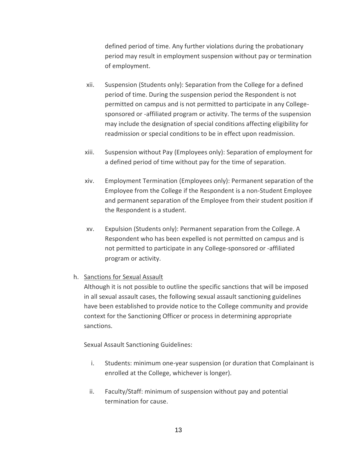defined period of time. Any further violations during the probationary period may result in employment suspension without pay or termination of employment.

- xii. Suspension (Students only): Separation from the College for a defined period of time. During the suspension period the Respondent is not permitted on campus and is not permitted to participate in any Collegesponsored or -affiliated program or activity. The terms of the suspension may include the designation of special conditions affecting eligibility for readmission or special conditions to be in effect upon readmission.
- xiii. Suspension without Pay (Employees only): Separation of employment for a defined period of time without pay for the time of separation.
- xiv. Employment Termination (Employees only): Permanent separation of the Employee from the College if the Respondent is a non-Student Employee and permanent separation of the Employee from their student position if the Respondent is a student.
- xv. Expulsion (Students only): Permanent separation from the College. A Respondent who has been expelled is not permitted on campus and is not permitted to participate in any College-sponsored or -affiliated program or activity.

## h. Sanctions for Sexual Assault

Although it is not possible to outline the specific sanctions that will be imposed in all sexual assault cases, the following sexual assault sanctioning guidelines have been established to provide notice to the College community and provide context for the Sanctioning Officer or process in determining appropriate sanctions.

Sexual Assault Sanctioning Guidelines:

- i. Students: minimum one-year suspension (or duration that Complainant is enrolled at the College, whichever is longer).
- ii. Faculty/Staff: minimum of suspension without pay and potential termination for cause.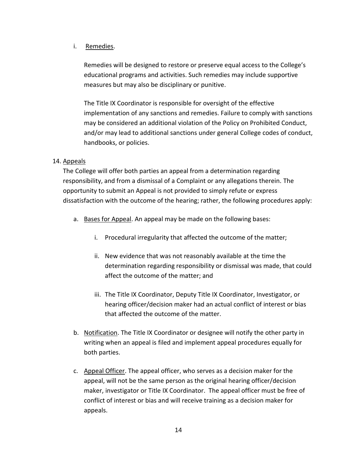## i. Remedies.

Remedies will be designed to restore or preserve equal access to the College's educational programs and activities. Such remedies may include supportive measures but may also be disciplinary or punitive.

The Title IX Coordinator is responsible for oversight of the effective implementation of any sanctions and remedies. Failure to comply with sanctions may be considered an additional violation of the Policy on Prohibited Conduct, and/or may lead to additional sanctions under general College codes of conduct, handbooks, or policies.

# 14. Appeals

The College will offer both parties an appeal from a determination regarding responsibility, and from a dismissal of a Complaint or any allegations therein. The opportunity to submit an Appeal is not provided to simply refute or express dissatisfaction with the outcome of the hearing; rather, the following procedures apply:

- a. Bases for Appeal. An appeal may be made on the following bases:
	- i. Procedural irregularity that affected the outcome of the matter;
	- ii. New evidence that was not reasonably available at the time the determination regarding responsibility or dismissal was made, that could affect the outcome of the matter; and
	- iii. The Title IX Coordinator, Deputy Title IX Coordinator, Investigator, or hearing officer/decision maker had an actual conflict of interest or bias that affected the outcome of the matter.
- b. Notification. The Title IX Coordinator or designee will notify the other party in writing when an appeal is filed and implement appeal procedures equally for both parties.
- c. Appeal Officer. The appeal officer, who serves as a decision maker for the appeal, will not be the same person as the original hearing officer/decision maker, investigator or Title IX Coordinator. The appeal officer must be free of conflict of interest or bias and will receive training as a decision maker for appeals.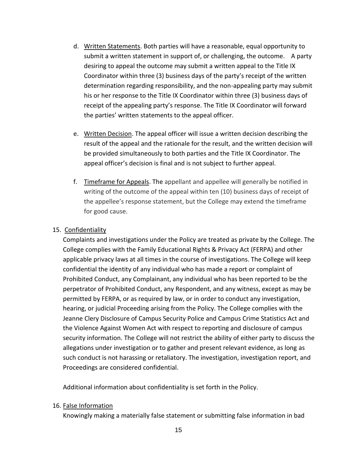- d. Written Statements. Both parties will have a reasonable, equal opportunity to submit a written statement in support of, or challenging, the outcome. A party desiring to appeal the outcome may submit a written appeal to the Title IX Coordinator within three (3) business days of the party's receipt of the written determination regarding responsibility, and the non-appealing party may submit his or her response to the Title IX Coordinator within three (3) business days of receipt of the appealing party's response. The Title IX Coordinator will forward the parties' written statements to the appeal officer.
- e. Written Decision. The appeal officer will issue a written decision describing the result of the appeal and the rationale for the result, and the written decision will be provided simultaneously to both parties and the Title IX Coordinator. The appeal officer's decision is final and is not subject to further appeal.
- f. Timeframe for Appeals. The appellant and appellee will generally be notified in writing of the outcome of the appeal within ten (10) business days of receipt of the appellee's response statement, but the College may extend the timeframe for good cause.

#### 15. Confidentiality

Complaints and investigations under the Policy are treated as private by the College. The College complies with the Family Educational Rights & Privacy Act (FERPA) and other applicable privacy laws at all times in the course of investigations. The College will keep confidential the identity of any individual who has made a report or complaint of Prohibited Conduct, any Complainant, any individual who has been reported to be the perpetrator of Prohibited Conduct, any Respondent, and any witness, except as may be permitted by FERPA, or as required by law, or in order to conduct any investigation, hearing, or judicial Proceeding arising from the Policy. The College complies with the Jeanne Clery Disclosure of Campus Security Police and Campus Crime Statistics Act and the Violence Against Women Act with respect to reporting and disclosure of campus security information. The College will not restrict the ability of either party to discuss the allegations under investigation or to gather and present relevant evidence, as long as such conduct is not harassing or retaliatory. The investigation, investigation report, and Proceedings are considered confidential.

Additional information about confidentiality is set forth in the Policy.

#### 16. False Information

Knowingly making a materially false statement or submitting false information in bad